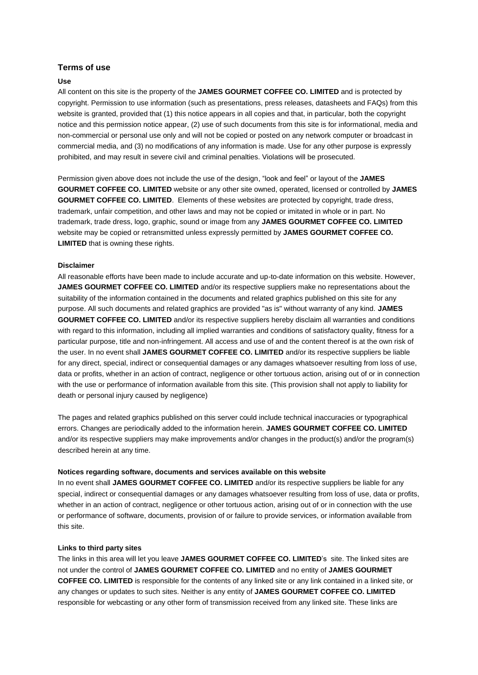# **Terms of use**

### **Use**

All content on this site is the property of the **JAMES GOURMET COFFEE CO. LIMITED** and is protected by copyright. Permission to use information (such as presentations, press releases, datasheets and FAQs) from this website is granted, provided that (1) this notice appears in all copies and that, in particular, both the copyright notice and this permission notice appear, (2) use of such documents from this site is for informational, media and non-commercial or personal use only and will not be copied or posted on any network computer or broadcast in commercial media, and (3) no modifications of any information is made. Use for any other purpose is expressly prohibited, and may result in severe civil and criminal penalties. Violations will be prosecuted.

Permission given above does not include the use of the design, "look and feel" or layout of the **JAMES GOURMET COFFEE CO. LIMITED** website or any other site owned, operated, licensed or controlled by **JAMES GOURMET COFFEE CO. LIMITED**. Elements of these websites are protected by copyright, trade dress, trademark, unfair competition, and other laws and may not be copied or imitated in whole or in part. No trademark, trade dress, logo, graphic, sound or image from any **JAMES GOURMET COFFEE CO. LIMITED** website may be copied or retransmitted unless expressly permitted by **JAMES GOURMET COFFEE CO. LIMITED** that is owning these rights.

#### **Disclaimer**

All reasonable efforts have been made to include accurate and up-to-date information on this website. However, **JAMES GOURMET COFFEE CO. LIMITED** and/or its respective suppliers make no representations about the suitability of the information contained in the documents and related graphics published on this site for any purpose. All such documents and related graphics are provided "as is" without warranty of any kind. **JAMES GOURMET COFFEE CO. LIMITED** and/or its respective suppliers hereby disclaim all warranties and conditions with regard to this information, including all implied warranties and conditions of satisfactory quality, fitness for a particular purpose, title and non-infringement. All access and use of and the content thereof is at the own risk of the user. In no event shall **JAMES GOURMET COFFEE CO. LIMITED** and/or its respective suppliers be liable for any direct, special, indirect or consequential damages or any damages whatsoever resulting from loss of use, data or profits, whether in an action of contract, negligence or other tortuous action, arising out of or in connection with the use or performance of information available from this site. (This provision shall not apply to liability for death or personal injury caused by negligence)

The pages and related graphics published on this server could include technical inaccuracies or typographical errors. Changes are periodically added to the information herein. **JAMES GOURMET COFFEE CO. LIMITED** and/or its respective suppliers may make improvements and/or changes in the product(s) and/or the program(s) described herein at any time.

#### **Notices regarding software, documents and services available on this website**

In no event shall **JAMES GOURMET COFFEE CO. LIMITED** and/or its respective suppliers be liable for any special, indirect or consequential damages or any damages whatsoever resulting from loss of use, data or profits, whether in an action of contract, negligence or other tortuous action, arising out of or in connection with the use or performance of software, documents, provision of or failure to provide services, or information available from this site.

#### **Links to third party sites**

The links in this area will let you leave **JAMES GOURMET COFFEE CO. LIMITED**'s site. The linked sites are not under the control of **JAMES GOURMET COFFEE CO. LIMITED** and no entity of **JAMES GOURMET COFFEE CO. LIMITED** is responsible for the contents of any linked site or any link contained in a linked site, or any changes or updates to such sites. Neither is any entity of **JAMES GOURMET COFFEE CO. LIMITED** responsible for webcasting or any other form of transmission received from any linked site. These links are